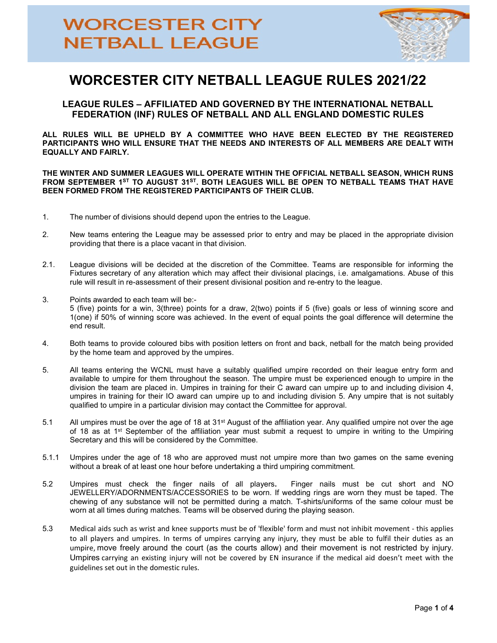

## WORCESTER CITY NETBALL LEAGUE RULES 2021/22

LEAGUE RULES – AFFILIATED AND GOVERNED BY THE INTERNATIONAL NETBALL FEDERATION (INF) RULES OF NETBALL AND ALL ENGLAND DOMESTIC RULES

ALL RULES WILL BE UPHELD BY A COMMITTEE WHO HAVE BEEN ELECTED BY THE REGISTERED PARTICIPANTS WHO WILL ENSURE THAT THE NEEDS AND INTERESTS OF ALL MEMBERS ARE DEALT WITH EQUALLY AND FAIRLY.

THE WINTER AND SUMMER LEAGUES WILL OPERATE WITHIN THE OFFICIAL NETBALL SEASON, WHICH RUNS FROM SEPTEMBER 1<sup>ST</sup> TO AUGUST 31<sup>ST</sup>. BOTH LEAGUES WILL BE OPEN TO NETBALL TEAMS THAT HAVE BEEN FORMED FROM THE REGISTERED PARTICIPANTS OF THEIR CLUB.

- 1. The number of divisions should depend upon the entries to the League.
- 2. New teams entering the League may be assessed prior to entry and may be placed in the appropriate division providing that there is a place vacant in that division.
- 2.1. League divisions will be decided at the discretion of the Committee. Teams are responsible for informing the Fixtures secretary of any alteration which may affect their divisional placings, i.e. amalgamations. Abuse of this rule will result in re-assessment of their present divisional position and re-entry to the league.
- 3. Points awarded to each team will be:- 5 (five) points for a win, 3(three) points for a draw, 2(two) points if 5 (five) goals or less of winning score and 1(one) if 50% of winning score was achieved. In the event of equal points the goal difference will determine the end result.
- 4. Both teams to provide coloured bibs with position letters on front and back, netball for the match being provided by the home team and approved by the umpires.
- 5. All teams entering the WCNL must have a suitably qualified umpire recorded on their league entry form and available to umpire for them throughout the season. The umpire must be experienced enough to umpire in the division the team are placed in. Umpires in training for their C award can umpire up to and including division 4, umpires in training for their IO award can umpire up to and including division 5. Any umpire that is not suitably qualified to umpire in a particular division may contact the Committee for approval.
- 5.1 All umpires must be over the age of 18 at  $31<sup>st</sup>$  August of the affiliation year. Any qualified umpire not over the age of 18 as at 1<sup>st</sup> September of the affiliation year must submit a request to umpire in writing to the Umpiring Secretary and this will be considered by the Committee.
- 5.1.1 Umpires under the age of 18 who are approved must not umpire more than two games on the same evening without a break of at least one hour before undertaking a third umpiring commitment.
- 5.2 Umpires must check the finger nails of all players. Finger nails must be cut short and NO JEWELLERY/ADORNMENTS/ACCESSORIES to be worn. If wedding rings are worn they must be taped. The chewing of any substance will not be permitted during a match. T-shirts/uniforms of the same colour must be worn at all times during matches. Teams will be observed during the playing season.
- 5.3 Medical aids such as wrist and knee supports must be of 'flexible' form and must not inhibit movement this applies to all players and umpires. In terms of umpires carrying any injury, they must be able to fulfil their duties as an umpire, move freely around the court (as the courts allow) and their movement is not restricted by injury. Umpires carrying an existing injury will not be covered by EN insurance if the medical aid doesn't meet with the guidelines set out in the domestic rules.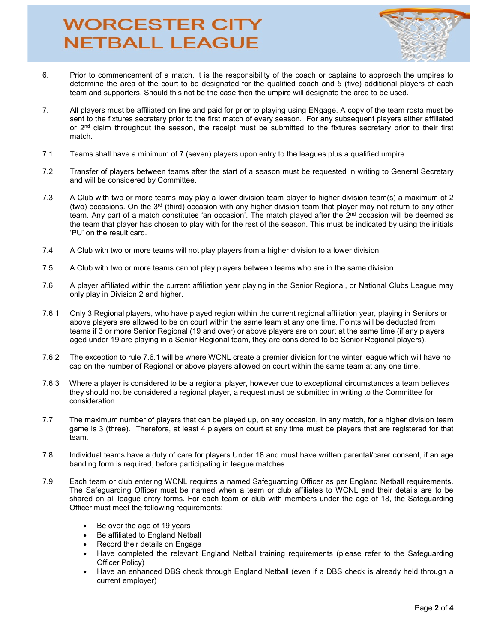## **WORCESTER CITY NETBALL LEAGUE**



- 6. Prior to commencement of a match, it is the responsibility of the coach or captains to approach the umpires to determine the area of the court to be designated for the qualified coach and 5 (five) additional players of each team and supporters. Should this not be the case then the umpire will designate the area to be used.
- 7. All players must be affiliated on line and paid for prior to playing using ENgage. A copy of the team rosta must be sent to the fixtures secretary prior to the first match of every season. For any subsequent players either affiliated or 2<sup>nd</sup> claim throughout the season, the receipt must be submitted to the fixtures secretary prior to their first match.
- 7.1 Teams shall have a minimum of 7 (seven) players upon entry to the leagues plus a qualified umpire.
- 7.2 Transfer of players between teams after the start of a season must be requested in writing to General Secretary and will be considered by Committee.
- 7.3 A Club with two or more teams may play a lower division team player to higher division team(s) a maximum of 2 (two) occasions. On the  $3<sup>rd</sup>$  (third) occasion with any higher division team that player may not return to any other team. Any part of a match constitutes 'an occasion'. The match played after the 2<sup>nd</sup> occasion will be deemed as the team that player has chosen to play with for the rest of the season. This must be indicated by using the initials 'PU' on the result card.
- 7.4 A Club with two or more teams will not play players from a higher division to a lower division.
- 7.5 A Club with two or more teams cannot play players between teams who are in the same division.
- 7.6 A player affiliated within the current affiliation year playing in the Senior Regional, or National Clubs League may only play in Division 2 and higher.
- 7.6.1 Only 3 Regional players, who have played region within the current regional affiliation year, playing in Seniors or above players are allowed to be on court within the same team at any one time. Points will be deducted from teams if 3 or more Senior Regional (19 and over) or above players are on court at the same time (if any players aged under 19 are playing in a Senior Regional team, they are considered to be Senior Regional players).
- 7.6.2 The exception to rule 7.6.1 will be where WCNL create a premier division for the winter league which will have no cap on the number of Regional or above players allowed on court within the same team at any one time.
- 7.6.3 Where a player is considered to be a regional player, however due to exceptional circumstances a team believes they should not be considered a regional player, a request must be submitted in writing to the Committee for consideration.
- 7.7 The maximum number of players that can be played up, on any occasion, in any match, for a higher division team game is 3 (three). Therefore, at least 4 players on court at any time must be players that are registered for that team.
- 7.8 Individual teams have a duty of care for players Under 18 and must have written parental/carer consent, if an age banding form is required, before participating in league matches.
- 7.9 Each team or club entering WCNL requires a named Safeguarding Officer as per England Netball requirements. The Safeguarding Officer must be named when a team or club affiliates to WCNL and their details are to be shared on all league entry forms. For each team or club with members under the age of 18, the Safeguarding Officer must meet the following requirements:
	- Be over the age of 19 years
	- Be affiliated to England Netball
	- Record their details on Engage
	- Have completed the relevant England Netball training requirements (please refer to the Safeguarding Officer Policy)
	- Have an enhanced DBS check through England Netball (even if a DBS check is already held through a current employer)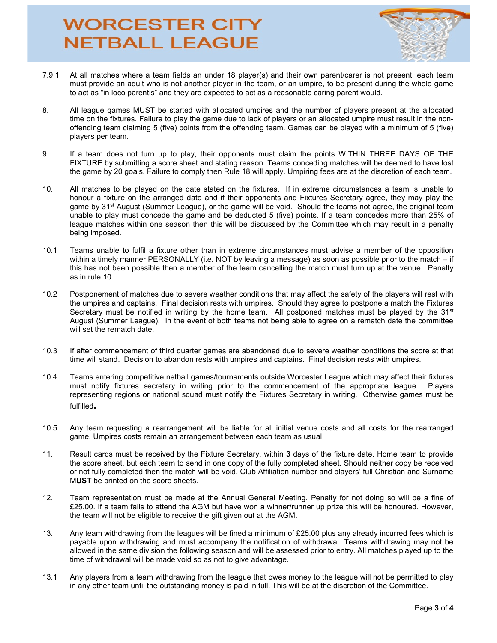## **WORCESTER CITY NETBALL LEAGUE**



- 7.9.1 At all matches where a team fields an under 18 player(s) and their own parent/carer is not present, each team must provide an adult who is not another player in the team, or an umpire, to be present during the whole game to act as "in loco parentis" and they are expected to act as a reasonable caring parent would.
- 8. All league games MUST be started with allocated umpires and the number of players present at the allocated time on the fixtures. Failure to play the game due to lack of players or an allocated umpire must result in the nonoffending team claiming 5 (five) points from the offending team. Games can be played with a minimum of 5 (five) players per team.
- 9. If a team does not turn up to play, their opponents must claim the points WITHIN THREE DAYS OF THE FIXTURE by submitting a score sheet and stating reason. Teams conceding matches will be deemed to have lost the game by 20 goals. Failure to comply then Rule 18 will apply. Umpiring fees are at the discretion of each team.
- 10. All matches to be played on the date stated on the fixtures. If in extreme circumstances a team is unable to honour a fixture on the arranged date and if their opponents and Fixtures Secretary agree, they may play the game by 31<sup>st</sup> August (Summer League), or the game will be void. Should the teams not agree, the original team unable to play must concede the game and be deducted 5 (five) points. If a team concedes more than 25% of league matches within one season then this will be discussed by the Committee which may result in a penalty being imposed.
- 10.1 Teams unable to fulfil a fixture other than in extreme circumstances must advise a member of the opposition within a timely manner PERSONALLY (i.e. NOT by leaving a message) as soon as possible prior to the match – if this has not been possible then a member of the team cancelling the match must turn up at the venue. Penalty as in rule 10.
- 10.2 Postponement of matches due to severe weather conditions that may affect the safety of the players will rest with the umpires and captains. Final decision rests with umpires. Should they agree to postpone a match the Fixtures Secretary must be notified in writing by the home team. All postponed matches must be played by the 31<sup>st</sup> August (Summer League). In the event of both teams not being able to agree on a rematch date the committee will set the rematch date.
- 10.3 If after commencement of third quarter games are abandoned due to severe weather conditions the score at that time will stand. Decision to abandon rests with umpires and captains. Final decision rests with umpires.
- 10.4 Teams entering competitive netball games/tournaments outside Worcester League which may affect their fixtures must notify fixtures secretary in writing prior to the commencement of the appropriate league. Players representing regions or national squad must notify the Fixtures Secretary in writing. Otherwise games must be fulfilled.
- 10.5 Any team requesting a rearrangement will be liable for all initial venue costs and all costs for the rearranged game. Umpires costs remain an arrangement between each team as usual.
- 11. Result cards must be received by the Fixture Secretary, within 3 days of the fixture date. Home team to provide the score sheet, but each team to send in one copy of the fully completed sheet. Should neither copy be received or not fully completed then the match will be void. Club Affiliation number and players' full Christian and Surname MUST be printed on the score sheets.
- 12. Team representation must be made at the Annual General Meeting. Penalty for not doing so will be a fine of £25.00. If a team fails to attend the AGM but have won a winner/runner up prize this will be honoured. However, the team will not be eligible to receive the gift given out at the AGM.
- 13. Any team withdrawing from the leagues will be fined a minimum of £25.00 plus any already incurred fees which is payable upon withdrawing and must accompany the notification of withdrawal. Teams withdrawing may not be allowed in the same division the following season and will be assessed prior to entry. All matches played up to the time of withdrawal will be made void so as not to give advantage.
- 13.1 Any players from a team withdrawing from the league that owes money to the league will not be permitted to play in any other team until the outstanding money is paid in full. This will be at the discretion of the Committee.